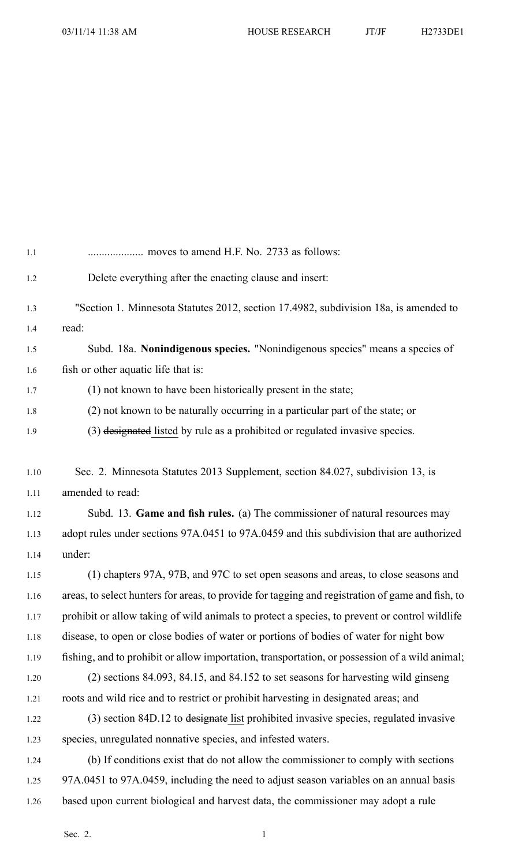| $1.1\,$  |                                                                                                  |
|----------|--------------------------------------------------------------------------------------------------|
| 1.2      | Delete everything after the enacting clause and insert:                                          |
| 1.3      | "Section 1. Minnesota Statutes 2012, section 17.4982, subdivision 18a, is amended to             |
| 1.4      | read:                                                                                            |
| 1.5      | Subd. 18a. Nonindigenous species. "Nonindigenous species" means a species of                     |
| 1.6      | fish or other aquatic life that is:                                                              |
| 1.7      | (1) not known to have been historically present in the state;                                    |
| $1.8\,$  | (2) not known to be naturally occurring in a particular part of the state; or                    |
| 1.9      | (3) designated listed by rule as a prohibited or regulated invasive species.                     |
| $1.10\,$ | Sec. 2. Minnesota Statutes 2013 Supplement, section 84.027, subdivision 13, is                   |
| 1.11     | amended to read:                                                                                 |
| 1.12     | Subd. 13. Game and fish rules. (a) The commissioner of natural resources may                     |
| 1.13     | adopt rules under sections 97A.0451 to 97A.0459 and this subdivision that are authorized         |
| 1.14     | under:                                                                                           |
| 1.15     | (1) chapters 97A, 97B, and 97C to set open seasons and areas, to close seasons and               |
| 1.16     | areas, to select hunters for areas, to provide for tagging and registration of game and fish, to |
| 1.17     | prohibit or allow taking of wild animals to protect a species, to prevent or control wildlife    |
| 1.18     | disease, to open or close bodies of water or portions of bodies of water for night bow           |
| 1.19     | fishing, and to prohibit or allow importation, transportation, or possession of a wild animal;   |
| 1.20     | $(2)$ sections 84.093, 84.15, and 84.152 to set seasons for harvesting wild ginseng              |
| 1.21     | roots and wild rice and to restrict or prohibit harvesting in designated areas; and              |
| 1.22     | (3) section 84D.12 to designate list prohibited invasive species, regulated invasive             |
| 1.23     | species, unregulated nonnative species, and infested waters.                                     |
| 1.24     | (b) If conditions exist that do not allow the commissioner to comply with sections               |
| 1.25     | 97A.0451 to 97A.0459, including the need to adjust season variables on an annual basis           |
| 1.26     | based upon current biological and harvest data, the commissioner may adopt a rule                |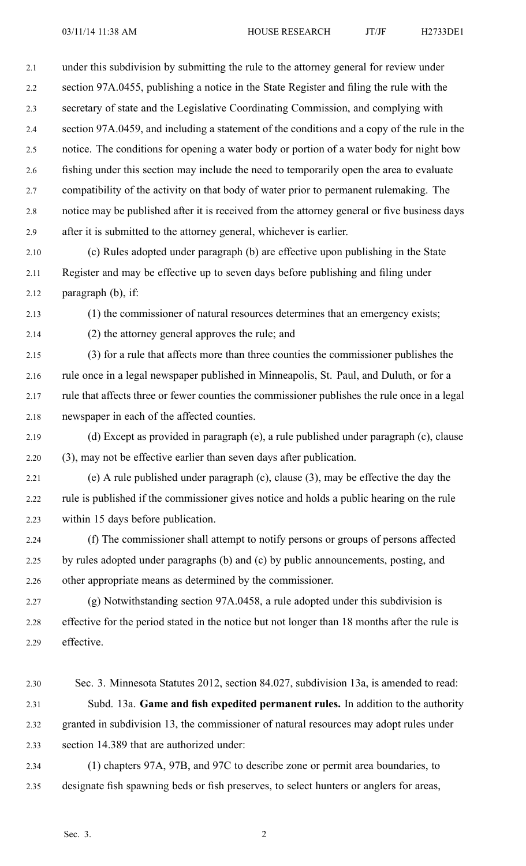2.1 under this subdivision by submitting the rule to the attorney general for review under 2.2 section 97A.0455, publishing <sup>a</sup> notice in the State Register and filing the rule with the 2.3 secretary of state and the Legislative Coordinating Commission, and complying with 2.4 section 97A.0459, and including <sup>a</sup> statement of the conditions and <sup>a</sup> copy of the rule in the 2.5 notice. The conditions for opening <sup>a</sup> water body or portion of <sup>a</sup> water body for night bow 2.6 fishing under this section may include the need to temporarily open the area to evaluate 2.7 compatibility of the activity on that body of water prior to permanen<sup>t</sup> rulemaking. The 2.8 notice may be published after it is received from the attorney general or five business days 2.9 after it is submitted to the attorney general, whichever is earlier.

2.10 (c) Rules adopted under paragraph (b) are effective upon publishing in the State 2.11 Register and may be effective up to seven days before publishing and filing under 2.12 paragraph (b), if:

2.13 (1) the commissioner of natural resources determines that an emergency exists;

2.14 (2) the attorney general approves the rule; and

2.15 (3) for <sup>a</sup> rule that affects more than three counties the commissioner publishes the 2.16 rule once in <sup>a</sup> legal newspaper published in Minneapolis, St. Paul, and Duluth, or for <sup>a</sup> 2.17 rule that affects three or fewer counties the commissioner publishes the rule once in <sup>a</sup> legal 2.18 newspaper in each of the affected counties.

- 2.19 (d) Except as provided in paragraph (e), <sup>a</sup> rule published under paragraph (c), clause 2.20 (3), may not be effective earlier than seven days after publication.
- 2.21 (e) A rule published under paragraph (c), clause (3), may be effective the day the 2.22 rule is published if the commissioner gives notice and holds <sup>a</sup> public hearing on the rule 2.23 within 15 days before publication.
- 2.24 (f) The commissioner shall attempt to notify persons or groups of persons affected 2.25 by rules adopted under paragraphs (b) and (c) by public announcements, posting, and 2.26 other appropriate means as determined by the commissioner.

2.27 (g) Notwithstanding section 97A.0458, <sup>a</sup> rule adopted under this subdivision is 2.28 effective for the period stated in the notice but not longer than 18 months after the rule is 2.29 effective.

- 2.30 Sec. 3. Minnesota Statutes 2012, section 84.027, subdivision 13a, is amended to read: 2.31 Subd. 13a. **Game and fish expedited permanen<sup>t</sup> rules.** In addition to the authority 2.32 granted in subdivision 13, the commissioner of natural resources may adopt rules under 2.33 section 14.389 that are authorized under:
- 2.34 (1) chapters 97A, 97B, and 97C to describe zone or permit area boundaries, to 2.35 designate fish spawning beds or fish preserves, to select hunters or anglers for areas,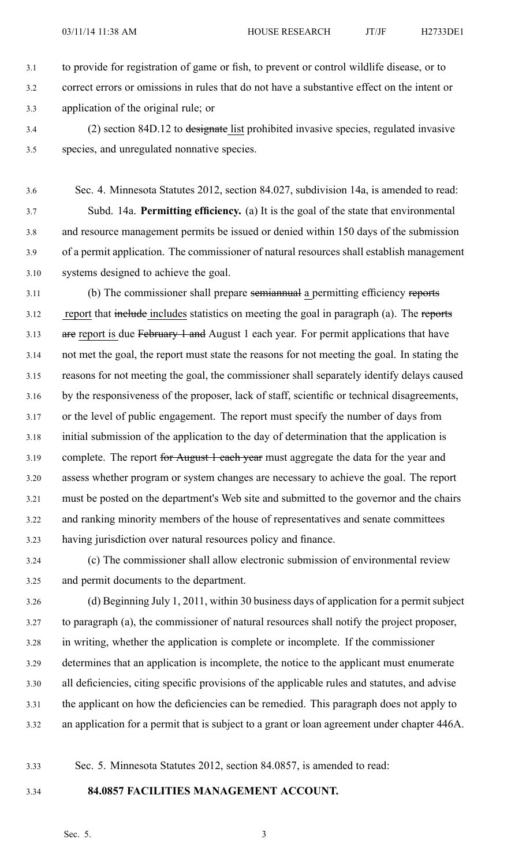- 3.1 to provide for registration of game or fish, to preven<sup>t</sup> or control wildlife disease, or to 3.2 correct errors or omissions in rules that do not have <sup>a</sup> substantive effect on the intent or 3.3 application of the original rule; or
- 3.4 (2) section 84D.12 to designate list prohibited invasive species, regulated invasive 3.5 species, and unregulated nonnative species.

3.6 Sec. 4. Minnesota Statutes 2012, section 84.027, subdivision 14a, is amended to read: 3.7 Subd. 14a. **Permitting efficiency.** (a) It is the goal of the state that environmental 3.8 and resource managemen<sup>t</sup> permits be issued or denied within 150 days of the submission 3.9 of <sup>a</sup> permit application. The commissioner of natural resources shall establish managemen<sup>t</sup> 3.10 systems designed to achieve the goal.

3.11 (b) The commissioner shall prepare semiannual <sup>a</sup> permitting efficiency reports 3.12 report that includes statistics on meeting the goal in paragraph (a). The reports 3.13 are report is due February 1 and August 1 each year. For permit applications that have 3.14 not met the goal, the repor<sup>t</sup> must state the reasons for not meeting the goal. In stating the 3.15 reasons for not meeting the goal, the commissioner shall separately identify delays caused 3.16 by the responsiveness of the proposer, lack of staff, scientific or technical disagreements, 3.17 or the level of public engagement. The repor<sup>t</sup> must specify the number of days from 3.18 initial submission of the application to the day of determination that the application is 3.19 complete. The report for August 1 each year must aggregate the data for the year and 3.20 assess whether program or system changes are necessary to achieve the goal. The repor<sup>t</sup> 3.21 must be posted on the department's Web site and submitted to the governor and the chairs 3.22 and ranking minority members of the house of representatives and senate committees 3.23 having jurisdiction over natural resources policy and finance.

3.24 (c) The commissioner shall allow electronic submission of environmental review 3.25 and permit documents to the department.

3.26 (d) Beginning July 1, 2011, within 30 business days of application for <sup>a</sup> permit subject 3.27 to paragraph (a), the commissioner of natural resources shall notify the project proposer, 3.28 in writing, whether the application is complete or incomplete. If the commissioner 3.29 determines that an application is incomplete, the notice to the applicant must enumerate 3.30 all deficiencies, citing specific provisions of the applicable rules and statutes, and advise 3.31 the applicant on how the deficiencies can be remedied. This paragraph does not apply to 3.32 an application for <sup>a</sup> permit that is subject to <sup>a</sup> gran<sup>t</sup> or loan agreemen<sup>t</sup> under chapter 446A.

3.33 Sec. 5. Minnesota Statutes 2012, section 84.0857, is amended to read:

# 3.34 **84.0857 FACILITIES MANAGEMENT ACCOUNT.**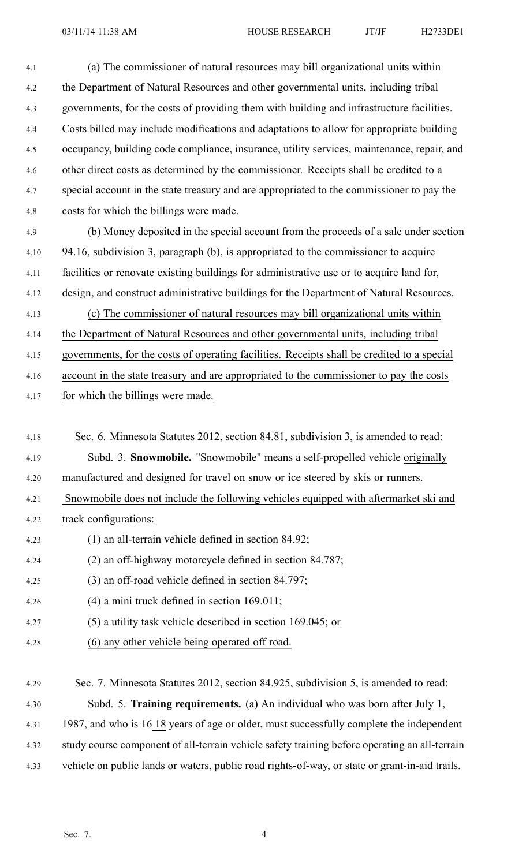4.1 (a) The commissioner of natural resources may bill organizational units within 4.2 the Department of Natural Resources and other governmental units, including tribal 4.3 governments, for the costs of providing them with building and infrastructure facilities. 4.4 Costs billed may include modifications and adaptations to allow for appropriate building 4.5 occupancy, building code compliance, insurance, utility services, maintenance, repair, and 4.6 other direct costs as determined by the commissioner. Receipts shall be credited to <sup>a</sup> 4.7 special account in the state treasury and are appropriated to the commissioner to pay the 4.8 costs for which the billings were made.

4.9 (b) Money deposited in the special account from the proceeds of <sup>a</sup> sale under section 4.10 94.16, subdivision 3, paragraph (b), is appropriated to the commissioner to acquire 4.11 facilities or renovate existing buildings for administrative use or to acquire land for, 4.12 design, and construct administrative buildings for the Department of Natural Resources. 4.13 (c) The commissioner of natural resources may bill organizational units within

4.14 the Department of Natural Resources and other governmental units, including tribal

4.15 governments, for the costs of operating facilities. Receipts shall be credited to <sup>a</sup> special

4.16 account in the state treasury and are appropriated to the commissioner to pay the costs

4.17 for which the billings were made.

- 4.18 Sec. 6. Minnesota Statutes 2012, section 84.81, subdivision 3, is amended to read: 4.19 Subd. 3. **Snowmobile.** "Snowmobile" means <sup>a</sup> self-propelled vehicle originally 4.20 manufactured and designed for travel on snow or ice steered by skis or runners. 4.21 Snowmobile does not include the following vehicles equipped with aftermarket ski and 4.22 track configurations: 4.23 (1) an all-terrain vehicle defined in section 84.92; 4.24 (2) an off-highway motorcycle defined in section 84.787; 4.25 (3) an off-road vehicle defined in section 84.797; 4.26 (4) <sup>a</sup> mini truck defined in section 169.011; 4.27 (5) <sup>a</sup> utility task vehicle described in section 169.045; or 4.28 (6) any other vehicle being operated off road.
- 4.29 Sec. 7. Minnesota Statutes 2012, section 84.925, subdivision 5, is amended to read: 4.30 Subd. 5. **Training requirements.** (a) An individual who was born after July 1, 4.31 1987, and who is  $16$  18 years of age or older, must successfully complete the independent 4.32 study course componen<sup>t</sup> of all-terrain vehicle safety training before operating an all-terrain 4.33 vehicle on public lands or waters, public road rights-of-way, or state or grant-in-aid trails.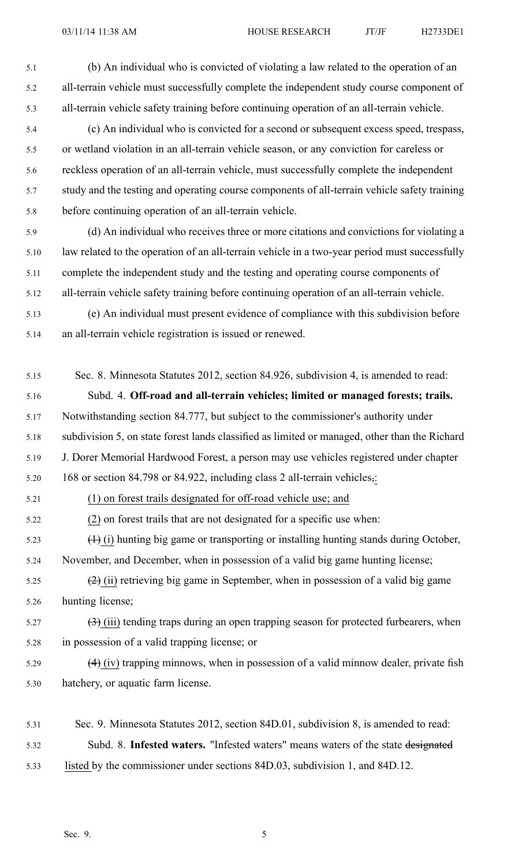5.1 (b) An individual who is convicted of violating <sup>a</sup> law related to the operation of an 5.2 all-terrain vehicle must successfully complete the independent study course componen<sup>t</sup> of 5.3 all-terrain vehicle safety training before continuing operation of an all-terrain vehicle.

- 5.4 (c) An individual who is convicted for <sup>a</sup> second or subsequent excess speed, trespass, 5.5 or wetland violation in an all-terrain vehicle season, or any conviction for careless or 5.6 reckless operation of an all-terrain vehicle, must successfully complete the independent 5.7 study and the testing and operating course components of all-terrain vehicle safety training 5.8 before continuing operation of an all-terrain vehicle.
- 5.9 (d) An individual who receives three or more citations and convictions for violating <sup>a</sup> 5.10 law related to the operation of an all-terrain vehicle in <sup>a</sup> two-year period must successfully 5.11 complete the independent study and the testing and operating course components of 5.12 all-terrain vehicle safety training before continuing operation of an all-terrain vehicle.
- 5.13 (e) An individual must presen<sup>t</sup> evidence of compliance with this subdivision before 5.14 an all-terrain vehicle registration is issued or renewed.
- 5.15 Sec. 8. Minnesota Statutes 2012, section 84.926, subdivision 4, is amended to read: 5.16 Subd. 4. **Off-road and all-terrain vehicles; limited or managed forests; trails.** 5.17 Notwithstanding section 84.777, but subject to the commissioner's authority under 5.18 subdivision 5, on state forest lands classified as limited or managed, other than the Richard 5.19 J. Dorer Memorial Hardwood Forest, <sup>a</sup> person may use vehicles registered under chapter 5.20 168 or section 84.798 or 84.922, including class 2 all-terrain vehicles,: 5.21 (1) on forest trails designated for off-road vehicle use; and 5.22 (2) on forest trails that are not designated for <sup>a</sup> specific use when: 5.23 (1) (i) hunting big game or transporting or installing hunting stands during October, 5.24 November, and December, when in possession of <sup>a</sup> valid big game hunting license; 5.25  $(2)$  (ii) retrieving big game in September, when in possession of a valid big game 5.26 hunting license;  $\left(3\right)$  (iii) tending traps during an open trapping season for protected furbearers, when 5.28 in possession of <sup>a</sup> valid trapping license; or  $5.29$  (4) (iv) trapping minnows, when in possession of a valid minnow dealer, private fish 5.30 hatchery, or aquatic farm license.
- 5.31 Sec. 9. Minnesota Statutes 2012, section 84D.01, subdivision 8, is amended to read: 5.32 Subd. 8. **Infested waters.** "Infested waters" means waters of the state designated 5.33 listed by the commissioner under sections 84D.03, subdivision 1, and 84D.12.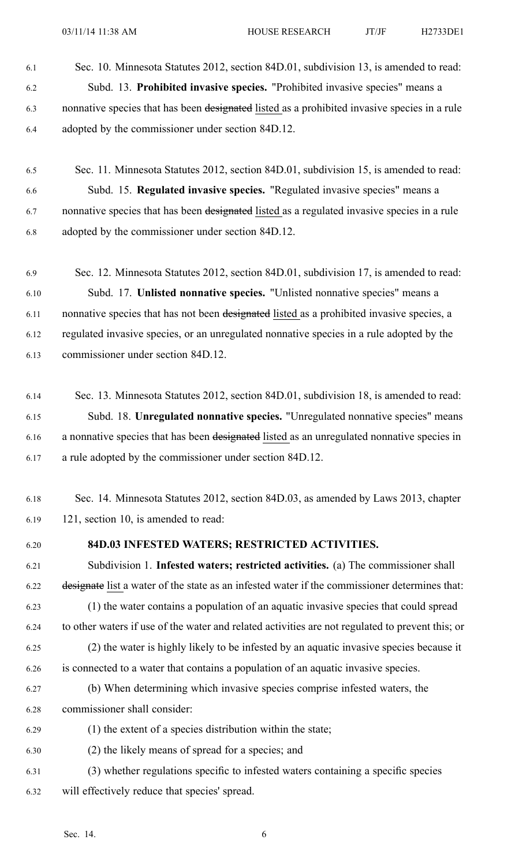- 6.1 Sec. 10. Minnesota Statutes 2012, section 84D.01, subdivision 13, is amended to read: 6.2 Subd. 13. **Prohibited invasive species.** "Prohibited invasive species" means <sup>a</sup> 6.3 nonnative species that has been designated listed as <sup>a</sup> prohibited invasive species in <sup>a</sup> rule 6.4 adopted by the commissioner under section 84D.12.
- 6.5 Sec. 11. Minnesota Statutes 2012, section 84D.01, subdivision 15, is amended to read: 6.6 Subd. 15. **Regulated invasive species.** "Regulated invasive species" means <sup>a</sup> 6.7 nonnative species that has been designated listed as a regulated invasive species in a rule 6.8 adopted by the commissioner under section 84D.12.
- 6.9 Sec. 12. Minnesota Statutes 2012, section 84D.01, subdivision 17, is amended to read: 6.10 Subd. 17. **Unlisted nonnative species.** "Unlisted nonnative species" means <sup>a</sup> 6.11 nonnative species that has not been designated listed as a prohibited invasive species, a 6.12 regulated invasive species, or an unregulated nonnative species in <sup>a</sup> rule adopted by the 6.13 commissioner under section 84D.12.
- 6.14 Sec. 13. Minnesota Statutes 2012, section 84D.01, subdivision 18, is amended to read: 6.15 Subd. 18. **Unregulated nonnative species.** "Unregulated nonnative species" means 6.16 <sup>a</sup> nonnative species that has been designated listed as an unregulated nonnative species in 6.17 <sup>a</sup> rule adopted by the commissioner under section 84D.12.
- 6.18 Sec. 14. Minnesota Statutes 2012, section 84D.03, as amended by Laws 2013, chapter 6.19 121, section 10, is amended to read:
- 

# 6.20 **84D.03 INFESTED WATERS; RESTRICTED ACTIVITIES.**

- 6.21 Subdivision 1. **Infested waters; restricted activities.** (a) The commissioner shall 6.22 designate list <sup>a</sup> water of the state as an infested water if the commissioner determines that: 6.23 (1) the water contains <sup>a</sup> population of an aquatic invasive species that could spread 6.24 to other waters if use of the water and related activities are not regulated to preven<sup>t</sup> this; or 6.25 (2) the water is highly likely to be infested by an aquatic invasive species because it 6.26 is connected to <sup>a</sup> water that contains <sup>a</sup> population of an aquatic invasive species. 6.27 (b) When determining which invasive species comprise infested waters, the
- 6.28 commissioner shall consider:
- 6.29 (1) the extent of <sup>a</sup> species distribution within the state;
- 6.30 (2) the likely means of spread for <sup>a</sup> species; and
- 6.31 (3) whether regulations specific to infested waters containing <sup>a</sup> specific species 6.32 will effectively reduce that species' spread.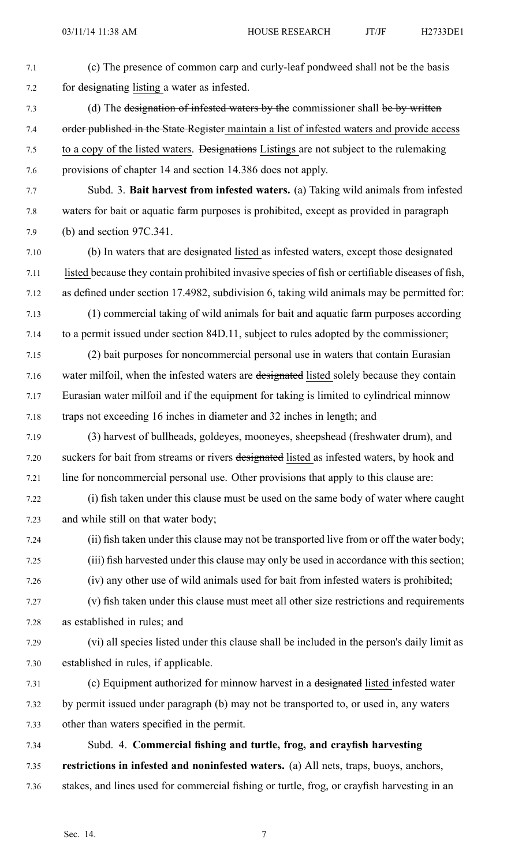7.1 (c) The presence of common carp and curly-leaf pondweed shall not be the basis 7.2 for designating listing <sup>a</sup> water as infested. 7.3 (d) The designation of infested waters by the commissioner shall be by written 7.4 order published in the State Register maintain a list of infested waters and provide access 7.5 to <sup>a</sup> copy of the listed waters. Designations Listings are not subject to the rulemaking 7.6 provisions of chapter 14 and section 14.386 does not apply. 7.7 Subd. 3. **Bait harvest from infested waters.** (a) Taking wild animals from infested 7.8 waters for bait or aquatic farm purposes is prohibited, excep<sup>t</sup> as provided in paragraph 7.9 (b) and section 97C.341. 7.10 (b) In waters that are designated listed as infested waters, excep<sup>t</sup> those designated 7.11 listed because they contain prohibited invasive species of fish or certifiable diseases of fish, 7.12 as defined under section 17.4982, subdivision 6, taking wild animals may be permitted for: 7.13 (1) commercial taking of wild animals for bait and aquatic farm purposes according 7.14 to <sup>a</sup> permit issued under section 84D.11, subject to rules adopted by the commissioner; 7.15 (2) bait purposes for noncommercial personal use in waters that contain Eurasian 7.16 water milfoil, when the infested waters are designated listed solely because they contain 7.17 Eurasian water milfoil and if the equipment for taking is limited to cylindrical minnow 7.18 traps not exceeding 16 inches in diameter and 32 inches in length; and 7.19 (3) harvest of bullheads, goldeyes, mooneyes, sheepshead (freshwater drum), and 7.20 suckers for bait from streams or rivers designated listed as infested waters, by hook and 7.21 line for noncommercial personal use. Other provisions that apply to this clause are: 7.22 (i) fish taken under this clause must be used on the same body of water where caught 7.23 and while still on that water body; 7.24 (ii) fish taken under this clause may not be transported live from or off the water body; 7.25 (iii) fish harvested under this clause may only be used in accordance with this section; 7.26 (iv) any other use of wild animals used for bait from infested waters is prohibited; 7.27 (v) fish taken under this clause must meet all other size restrictions and requirements 7.28 as established in rules; and 7.29 (vi) all species listed under this clause shall be included in the person's daily limit as 7.30 established in rules, if applicable. 7.31 (c) Equipment authorized for minnow harvest in <sup>a</sup> designated listed infested water 7.32 by permit issued under paragraph (b) may not be transported to, or used in, any waters 7.33 other than waters specified in the permit. 7.34 Subd. 4. **Commercial fishing and turtle, frog, and crayfish harvesting** 7.35 **restrictions in infested and noninfested waters.** (a) All nets, traps, buoys, anchors, 7.36 stakes, and lines used for commercial fishing or turtle, frog, or crayfish harvesting in an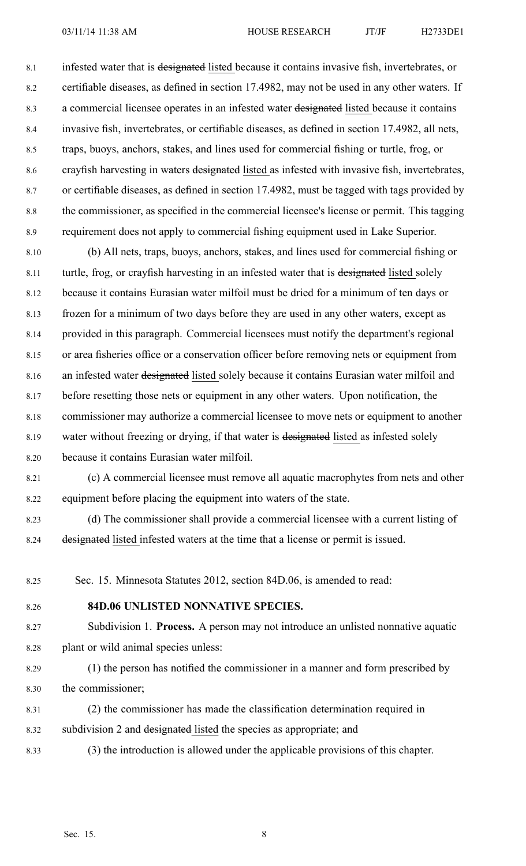8.1 infested water that is designated listed because it contains invasive fish, invertebrates, or 8.2 certifiable diseases, as defined in section 17.4982, may not be used in any other waters. If 8.3 <sup>a</sup> commercial licensee operates in an infested water designated listed because it contains 8.4 invasive fish, invertebrates, or certifiable diseases, as defined in section 17.4982, all nets, 8.5 traps, buoys, anchors, stakes, and lines used for commercial fishing or turtle, frog, or 8.6 crayfish harvesting in waters designated listed as infested with invasive fish, invertebrates, 8.7 or certifiable diseases, as defined in section 17.4982, must be tagged with tags provided by 8.8 the commissioner, as specified in the commercial licensee's license or permit. This tagging 8.9 requirement does not apply to commercial fishing equipment used in Lake Superior.

8.10 (b) All nets, traps, buoys, anchors, stakes, and lines used for commercial fishing or 8.11 turtle, frog, or crayfish harvesting in an infested water that is designated listed solely 8.12 because it contains Eurasian water milfoil must be dried for <sup>a</sup> minimum of ten days or 8.13 frozen for <sup>a</sup> minimum of two days before they are used in any other waters, excep<sup>t</sup> as 8.14 provided in this paragraph. Commercial licensees must notify the department's regional 8.15 or area fisheries office or <sup>a</sup> conservation officer before removing nets or equipment from 8.16 an infested water designated listed solely because it contains Eurasian water milfoil and 8.17 before resetting those nets or equipment in any other waters. Upon notification, the 8.18 commissioner may authorize <sup>a</sup> commercial licensee to move nets or equipment to another 8.19 water without freezing or drying, if that water is designated listed as infested solely 8.20 because it contains Eurasian water milfoil.

8.21 (c) A commercial licensee must remove all aquatic macrophytes from nets and other 8.22 equipment before placing the equipment into waters of the state.

8.23 (d) The commissioner shall provide <sup>a</sup> commercial licensee with <sup>a</sup> current listing of 8.24 designated listed infested waters at the time that <sup>a</sup> license or permit is issued.

8.25 Sec. 15. Minnesota Statutes 2012, section 84D.06, is amended to read:

#### 8.26 **84D.06 UNLISTED NONNATIVE SPECIES.**

8.27 Subdivision 1. **Process.** A person may not introduce an unlisted nonnative aquatic 8.28 plant or wild animal species unless:

8.29 (1) the person has notified the commissioner in <sup>a</sup> manner and form prescribed by 8.30 the commissioner;

- 8.31 (2) the commissioner has made the classification determination required in 8.32 subdivision 2 and designated listed the species as appropriate; and
- 8.33 (3) the introduction is allowed under the applicable provisions of this chapter.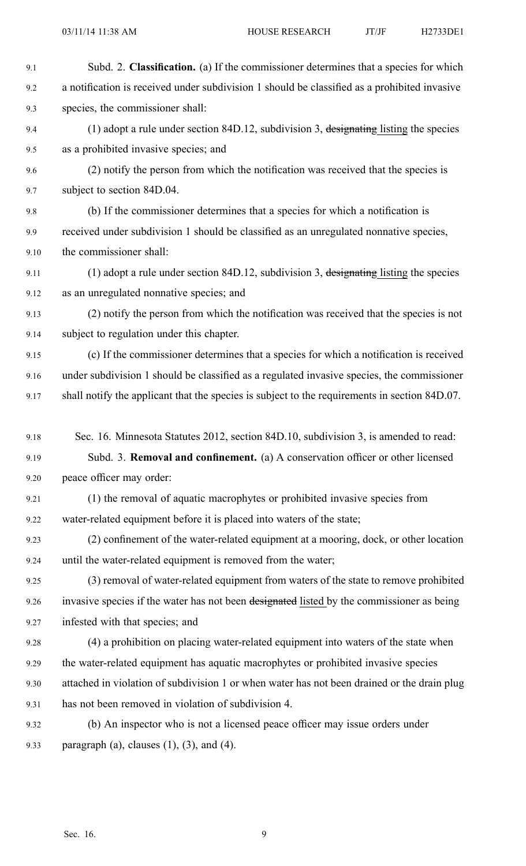9.1 Subd. 2. **Classification.** (a) If the commissioner determines that <sup>a</sup> species for which 9.2 <sup>a</sup> notification is received under subdivision 1 should be classified as <sup>a</sup> prohibited invasive 9.3 species, the commissioner shall: 9.4 (1) adopt <sup>a</sup> rule under section 84D.12, subdivision 3, designating listing the species 9.5 as <sup>a</sup> prohibited invasive species; and 9.6 (2) notify the person from which the notification was received that the species is 9.7 subject to section 84D.04. 9.8 (b) If the commissioner determines that <sup>a</sup> species for which <sup>a</sup> notification is 9.9 received under subdivision 1 should be classified as an unregulated nonnative species, 9.10 the commissioner shall: 9.11 (1) adopt a rule under section 84D.12, subdivision 3, designating listing the species 9.12 as an unregulated nonnative species; and 9.13 (2) notify the person from which the notification was received that the species is not 9.14 subject to regulation under this chapter. 9.15 (c) If the commissioner determines that <sup>a</sup> species for which <sup>a</sup> notification is received 9.16 under subdivision 1 should be classified as <sup>a</sup> regulated invasive species, the commissioner 9.17 shall notify the applicant that the species is subject to the requirements in section 84D.07. 9.18 Sec. 16. Minnesota Statutes 2012, section 84D.10, subdivision 3, is amended to read: 9.19 Subd. 3. **Removal and confinement.** (a) A conservation officer or other licensed 9.20 peace officer may order: 9.21 (1) the removal of aquatic macrophytes or prohibited invasive species from 9.22 water-related equipment before it is placed into waters of the state; 9.23 (2) confinement of the water-related equipment at <sup>a</sup> mooring, dock, or other location 9.24 until the water-related equipment is removed from the water; 9.25 (3) removal of water-related equipment from waters of the state to remove prohibited 9.26 invasive species if the water has not been designated listed by the commissioner as being 9.27 infested with that species; and 9.28 (4) <sup>a</sup> prohibition on placing water-related equipment into waters of the state when 9.29 the water-related equipment has aquatic macrophytes or prohibited invasive species 9.30 attached in violation of subdivision 1 or when water has not been drained or the drain plug 9.31 has not been removed in violation of subdivision 4. 9.32 (b) An inspector who is not <sup>a</sup> licensed peace officer may issue orders under 9.33 paragraph (a), clauses  $(1)$ ,  $(3)$ , and  $(4)$ .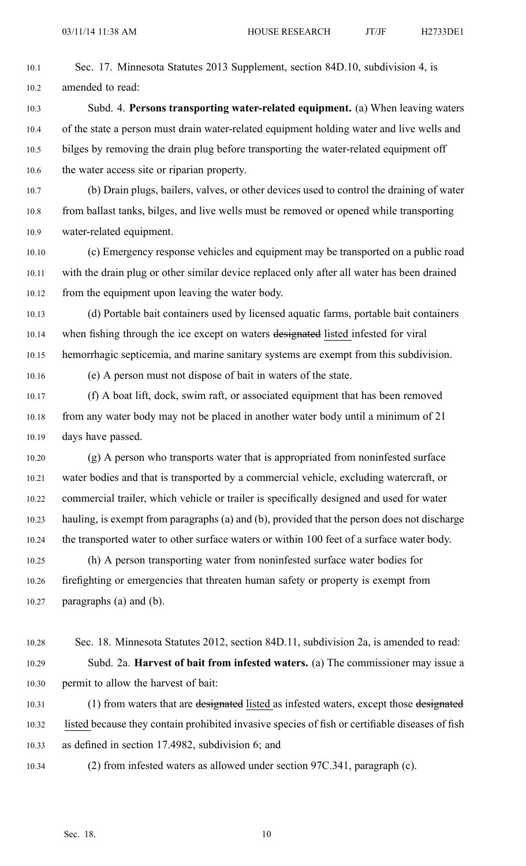10.1 Sec. 17. Minnesota Statutes 2013 Supplement, section 84D.10, subdivision 4, is 10.2 amended to read:

10.3 Subd. 4. **Persons transporting water-related equipment.** (a) When leaving waters 10.4 of the state <sup>a</sup> person must drain water-related equipment holding water and live wells and 10.5 bilges by removing the drain plug before transporting the water-related equipment off 10.6 the water access site or riparian property.

10.7 (b) Drain plugs, bailers, valves, or other devices used to control the draining of water 10.8 from ballast tanks, bilges, and live wells must be removed or opened while transporting 10.9 water-related equipment.

10.10 (c) Emergency response vehicles and equipment may be transported on <sup>a</sup> public road 10.11 with the drain plug or other similar device replaced only after all water has been drained 10.12 from the equipment upon leaving the water body.

10.13 (d) Portable bait containers used by licensed aquatic farms, portable bait containers 10.14 when fishing through the ice except on waters designated listed infested for viral 10.15 hemorrhagic septicemia, and marine sanitary systems are exemp<sup>t</sup> from this subdivision.

10.16 (e) A person must not dispose of bait in waters of the state.

10.17 (f) A boat lift, dock, swim raft, or associated equipment that has been removed 10.18 from any water body may not be placed in another water body until <sup>a</sup> minimum of 21 10.19 days have passed.

10.20 (g) A person who transports water that is appropriated from noninfested surface 10.21 water bodies and that is transported by <sup>a</sup> commercial vehicle, excluding watercraft, or 10.22 commercial trailer, which vehicle or trailer is specifically designed and used for water 10.23 hauling, is exemp<sup>t</sup> from paragraphs (a) and (b), provided that the person does not discharge 10.24 the transported water to other surface waters or within 100 feet of <sup>a</sup> surface water body.

10.25 (h) A person transporting water from noninfested surface water bodies for 10.26 firefighting or emergencies that threaten human safety or property is exemp<sup>t</sup> from 10.27 paragraphs (a) and (b).

10.28 Sec. 18. Minnesota Statutes 2012, section 84D.11, subdivision 2a, is amended to read: 10.29 Subd. 2a. **Harvest of bait from infested waters.** (a) The commissioner may issue <sup>a</sup> 10.30 permit to allow the harvest of bait:

10.31 (1) from waters that are designated listed as infested waters, except those designated 10.32 listed because they contain prohibited invasive species of fish or certifiable diseases of fish 10.33 as defined in section 17.4982, subdivision 6; and

10.34 (2) from infested waters as allowed under section 97C.341, paragraph (c).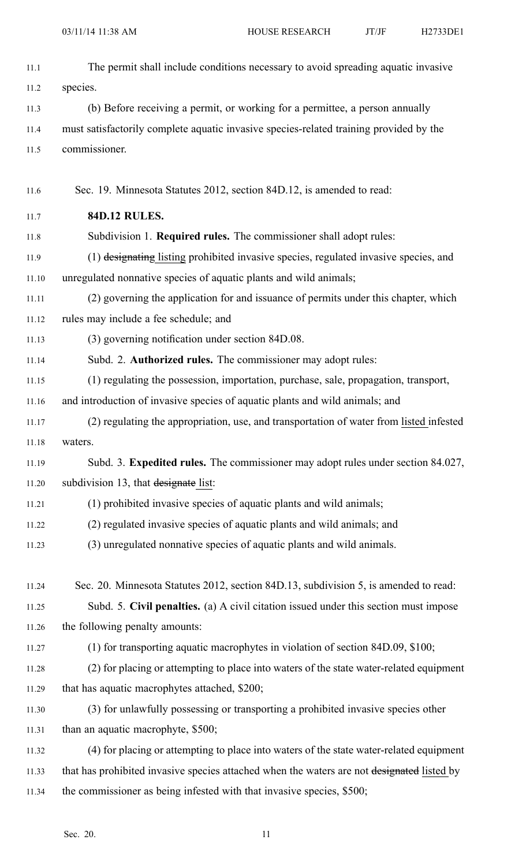| 11.1  | The permit shall include conditions necessary to avoid spreading aquatic invasive          |
|-------|--------------------------------------------------------------------------------------------|
| 11.2  | species.                                                                                   |
| 11.3  | (b) Before receiving a permit, or working for a permittee, a person annually               |
| 11.4  | must satisfactorily complete aquatic invasive species-related training provided by the     |
| 11.5  | commissioner.                                                                              |
|       |                                                                                            |
| 11.6  | Sec. 19. Minnesota Statutes 2012, section 84D.12, is amended to read:                      |
| 11.7  | <b>84D.12 RULES.</b>                                                                       |
| 11.8  | Subdivision 1. Required rules. The commissioner shall adopt rules:                         |
| 11.9  | (1) designating listing prohibited invasive species, regulated invasive species, and       |
| 11.10 | unregulated nonnative species of aquatic plants and wild animals;                          |
| 11.11 | (2) governing the application for and issuance of permits under this chapter, which        |
| 11.12 | rules may include a fee schedule; and                                                      |
| 11.13 | (3) governing notification under section 84D.08.                                           |
| 11.14 | Subd. 2. Authorized rules. The commissioner may adopt rules:                               |
| 11.15 | (1) regulating the possession, importation, purchase, sale, propagation, transport,        |
| 11.16 | and introduction of invasive species of aquatic plants and wild animals; and               |
| 11.17 | (2) regulating the appropriation, use, and transportation of water from listed infested    |
| 11.18 | waters.                                                                                    |
| 11.19 | Subd. 3. Expedited rules. The commissioner may adopt rules under section 84.027,           |
| 11.20 | subdivision 13, that designate list:                                                       |
| 11.21 | (1) prohibited invasive species of aquatic plants and wild animals;                        |
| 11.22 | (2) regulated invasive species of aquatic plants and wild animals; and                     |
| 11.23 | (3) unregulated nonnative species of aquatic plants and wild animals.                      |
|       |                                                                                            |
| 11.24 | Sec. 20. Minnesota Statutes 2012, section 84D.13, subdivision 5, is amended to read:       |
| 11.25 | Subd. 5. Civil penalties. (a) A civil citation issued under this section must impose       |
| 11.26 | the following penalty amounts:                                                             |
| 11.27 | (1) for transporting aquatic macrophytes in violation of section 84D.09, \$100;            |
| 11.28 | (2) for placing or attempting to place into waters of the state water-related equipment    |
| 11.29 | that has aquatic macrophytes attached, \$200;                                              |
| 11.30 | (3) for unlawfully possessing or transporting a prohibited invasive species other          |
| 11.31 | than an aquatic macrophyte, \$500;                                                         |
| 11.32 | (4) for placing or attempting to place into waters of the state water-related equipment    |
| 11.33 | that has prohibited invasive species attached when the waters are not designated listed by |
| 11.34 | the commissioner as being infested with that invasive species, \$500;                      |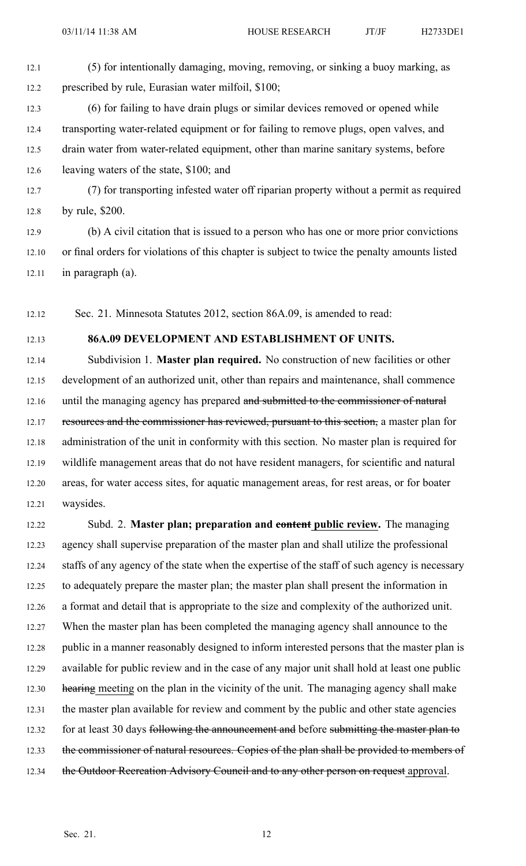- 12.1 (5) for intentionally damaging, moving, removing, or sinking <sup>a</sup> buoy marking, as 12.2 prescribed by rule, Eurasian water milfoil, \$100;
- 12.3 (6) for failing to have drain plugs or similar devices removed or opened while 12.4 transporting water-related equipment or for failing to remove plugs, open valves, and 12.5 drain water from water-related equipment, other than marine sanitary systems, before 12.6 leaving waters of the state, \$100; and
- 12.7 (7) for transporting infested water off riparian property without <sup>a</sup> permit as required 12.8 by rule, \$200.
- 12.9 (b) A civil citation that is issued to <sup>a</sup> person who has one or more prior convictions 12.10 or final orders for violations of this chapter is subject to twice the penalty amounts listed 12.11 in paragraph (a).
- 12.12 Sec. 21. Minnesota Statutes 2012, section 86A.09, is amended to read:

#### 12.13 **86A.09 DEVELOPMENT AND ESTABLISHMENT OF UNITS.**

12.14 Subdivision 1. **Master plan required.** No construction of new facilities or other 12.15 development of an authorized unit, other than repairs and maintenance, shall commence 12.16 until the managing agency has prepared and submitted to the commissioner of natural 12.17 resources and the commissioner has reviewed, pursuant to this section, a master plan for 12.18 administration of the unit in conformity with this section. No master plan is required for 12.19 wildlife managemen<sup>t</sup> areas that do not have resident managers, for scientific and natural 12.20 areas, for water access sites, for aquatic managemen<sup>t</sup> areas, for rest areas, or for boater 12.21 waysides.

12.22 Subd. 2. **Master plan; preparation and content public review.** The managing 12.23 agency shall supervise preparation of the master plan and shall utilize the professional 12.24 staffs of any agency of the state when the expertise of the staff of such agency is necessary 12.25 to adequately prepare the master plan; the master plan shall presen<sup>t</sup> the information in 12.26 <sup>a</sup> format and detail that is appropriate to the size and complexity of the authorized unit. 12.27 When the master plan has been completed the managing agency shall announce to the 12.28 public in <sup>a</sup> manner reasonably designed to inform interested persons that the master plan is 12.29 available for public review and in the case of any major unit shall hold at least one public 12.30 hearing meeting on the plan in the vicinity of the unit. The managing agency shall make 12.31 the master plan available for review and comment by the public and other state agencies 12.32 for at least 30 days following the announcement and before submitting the master plan to 12.33 the commissioner of natural resources. Copies of the plan shall be provided to members of 12.34 the Outdoor Recreation Advisory Council and to any other person on request approval.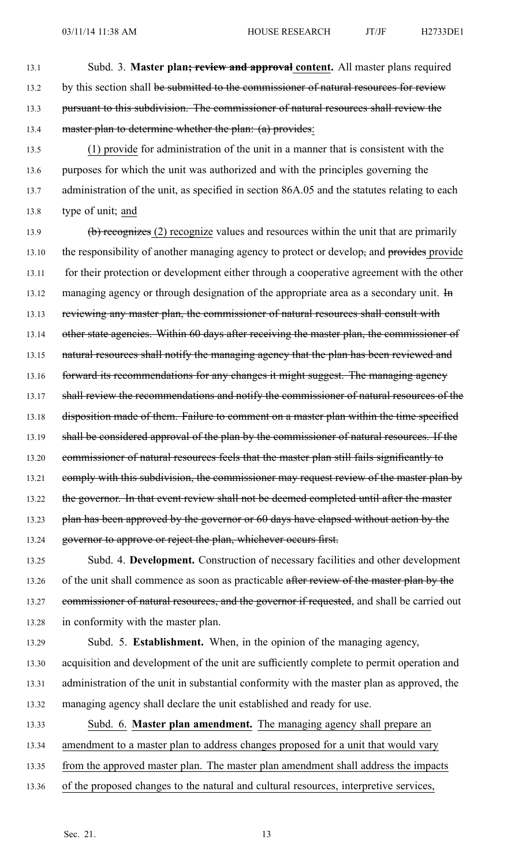13.1 Subd. 3. **Master plan; review and approval content.** All master plans required 13.2 by this section shall be submitted to the commissioner of natural resources for review 13.3 pursuan<sup>t</sup> to this subdivision. The commissioner of natural resources shall review the 13.4 master plan to determine whether the plan: (a) provides:

13.5 (1) provide for administration of the unit in <sup>a</sup> manner that is consistent with the 13.6 purposes for which the unit was authorized and with the principles governing the 13.7 administration of the unit, as specified in section 86A.05 and the statutes relating to each 13.8 type of unit; and

13.9 (b) recognizes (2) recognize values and resources within the unit that are primarily 13.10 the responsibility of another managing agency to protect or develop, and provides provide 13.11 for their protection or development either through <sup>a</sup> cooperative agreemen<sup>t</sup> with the other 13.12 managing agency or through designation of the appropriate area as a secondary unit. He 13.13 reviewing any master plan, the commissioner of natural resources shall consult with 13.14 other state agencies. Within 60 days after receiving the master plan, the commissioner of 13.15 natural resources shall notify the managing agency that the plan has been reviewed and 13.16 forward its recommendations for any changes it might suggest. The managing agency 13.17 shall review the recommendations and notify the commissioner of natural resources of the 13.18 disposition made of them. Failure to comment on a master plan within the time specified 13.19 shall be considered approval of the plan by the commissioner of natural resources. If the 13.20 commissioner of natural resources feels that the master plan still fails significantly to 13.21 comply with this subdivision, the commissioner may request review of the master plan by 13.22 the governor. In that event review shall not be deemed completed until after the master 13.23 plan has been approved by the governor or 60 days have elapsed without action by the 13.24 governor to approve or reject the plan, whichever occurs first. 13.25 Subd. 4. **Development.** Construction of necessary facilities and other development

13.26 of the unit shall commence as soon as practicable after review of the master plan by the 13.27 commissioner of natural resources, and the governor if requested, and shall be carried out 13.28 in conformity with the master plan.

13.29 Subd. 5. **Establishment.** When, in the opinion of the managing agency, 13.30 acquisition and development of the unit are sufficiently complete to permit operation and 13.31 administration of the unit in substantial conformity with the master plan as approved, the 13.32 managing agency shall declare the unit established and ready for use.

13.33 Subd. 6. **Master plan amendment.** The managing agency shall prepare an

- 13.34 amendment to <sup>a</sup> master plan to address changes proposed for <sup>a</sup> unit that would vary
- 13.35 from the approved master plan. The master plan amendment shall address the impacts
- 13.36 of the proposed changes to the natural and cultural resources, interpretive services,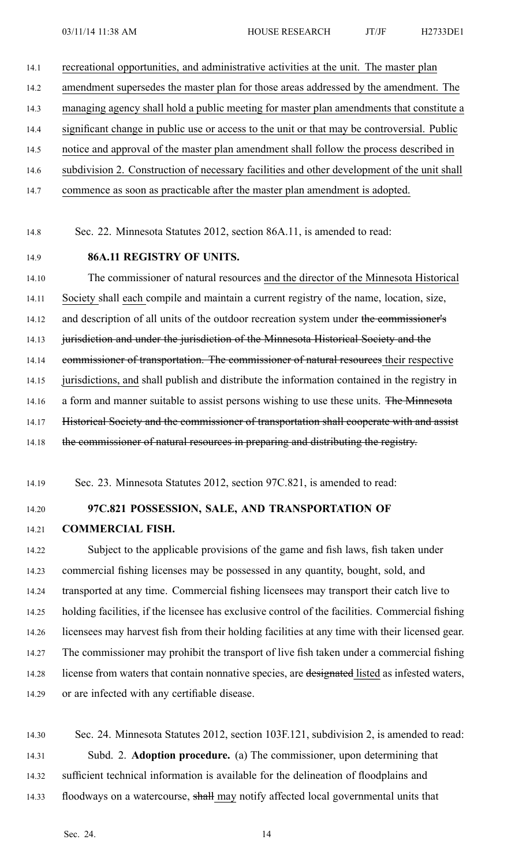14.1 recreational opportunities, and administrative activities at the unit. The master plan

14.2 amendment supersedes the master plan for those areas addressed by the amendment. The

14.3 managing agency shall hold <sup>a</sup> public meeting for master plan amendments that constitute <sup>a</sup>

- 14.4 significant change in public use or access to the unit or that may be controversial. Public
- 14.5 notice and approval of the master plan amendment shall follow the process described in
- 14.6 subdivision 2. Construction of necessary facilities and other development of the unit shall
- 14.7 commence as soon as practicable after the master plan amendment is adopted.
- 14.8 Sec. 22. Minnesota Statutes 2012, section 86A.11, is amended to read:
- 14.9 **86A.11 REGISTRY OF UNITS.**

14.10 The commissioner of natural resources and the director of the Minnesota Historical 14.11 Society shall each compile and maintain <sup>a</sup> current registry of the name, location, size, 14.12 and description of all units of the outdoor recreation system under the commissioner's 14.13 jurisdiction and under the jurisdiction of the Minnesota Historical Society and the 14.14 commissioner of transportation. The commissioner of natural resources their respective 14.15 jurisdictions, and shall publish and distribute the information contained in the registry in 14.16 a form and manner suitable to assist persons wishing to use these units. The Minnesota 14.17 Historical Society and the commissioner of transportation shall cooperate with and assist 14.18 the commissioner of natural resources in preparing and distributing the registry.

14.19 Sec. 23. Minnesota Statutes 2012, section 97C.821, is amended to read:

14.20 **97C.821 POSSESSION, SALE, AND TRANSPORTATION OF**

14.21 **COMMERCIAL FISH.**

14.22 Subject to the applicable provisions of the game and fish laws, fish taken under 14.23 commercial fishing licenses may be possessed in any quantity, bought, sold, and 14.24 transported at any time. Commercial fishing licensees may transport their catch live to 14.25 holding facilities, if the licensee has exclusive control of the facilities. Commercial fishing 14.26 licensees may harvest fish from their holding facilities at any time with their licensed gear. 14.27 The commissioner may prohibit the transport of live fish taken under <sup>a</sup> commercial fishing 14.28 license from waters that contain nonnative species, are designated listed as infested waters, 14.29 or are infected with any certifiable disease.

14.30 Sec. 24. Minnesota Statutes 2012, section 103F.121, subdivision 2, is amended to read: 14.31 Subd. 2. **Adoption procedure.** (a) The commissioner, upon determining that 14.32 sufficient technical information is available for the delineation of floodplains and 14.33 floodways on a watercourse, shall may notify affected local governmental units that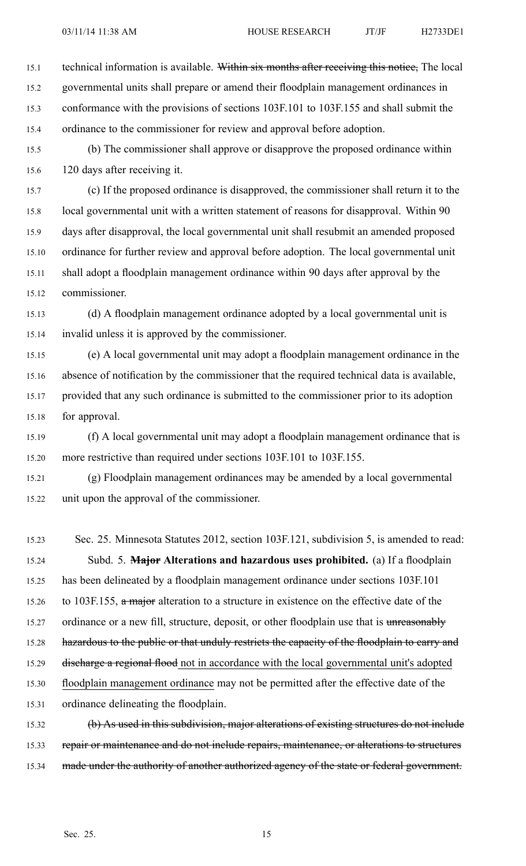15.1 technical information is available. Within six months after receiving this notice, The local 15.2 governmental units shall prepare or amend their floodplain managemen<sup>t</sup> ordinances in 15.3 conformance with the provisions of sections 103F.101 to 103F.155 and shall submit the 15.4 ordinance to the commissioner for review and approval before adoption.

15.5 (b) The commissioner shall approve or disapprove the proposed ordinance within 15.6 120 days after receiving it.

15.7 (c) If the proposed ordinance is disapproved, the commissioner shall return it to the 15.8 local governmental unit with <sup>a</sup> written statement of reasons for disapproval. Within 90 15.9 days after disapproval, the local governmental unit shall resubmit an amended proposed 15.10 ordinance for further review and approval before adoption. The local governmental unit 15.11 shall adopt <sup>a</sup> floodplain managemen<sup>t</sup> ordinance within 90 days after approval by the 15.12 commissioner.

15.13 (d) A floodplain managemen<sup>t</sup> ordinance adopted by <sup>a</sup> local governmental unit is 15.14 invalid unless it is approved by the commissioner.

15.15 (e) A local governmental unit may adopt <sup>a</sup> floodplain managemen<sup>t</sup> ordinance in the 15.16 absence of notification by the commissioner that the required technical data is available, 15.17 provided that any such ordinance is submitted to the commissioner prior to its adoption 15.18 for approval.

15.19 (f) A local governmental unit may adopt <sup>a</sup> floodplain managemen<sup>t</sup> ordinance that is 15.20 more restrictive than required under sections 103F.101 to 103F.155.

15.21 (g) Floodplain managemen<sup>t</sup> ordinances may be amended by <sup>a</sup> local governmental 15.22 unit upon the approval of the commissioner.

15.23 Sec. 25. Minnesota Statutes 2012, section 103F.121, subdivision 5, is amended to read: 15.24 Subd. 5. **Major Alterations and hazardous uses prohibited.** (a) If <sup>a</sup> floodplain 15.25 has been delineated by <sup>a</sup> floodplain managemen<sup>t</sup> ordinance under sections 103F.101 15.26 to 103F.155, a major alteration to a structure in existence on the effective date of the 15.27 ordinance or a new fill, structure, deposit, or other floodplain use that is unreasonably 15.28 hazardous to the public or that unduly restricts the capacity of the floodplain to carry and 15.29 discharge a regional flood not in accordance with the local governmental unit's adopted 15.30 floodplain managemen<sup>t</sup> ordinance may not be permitted after the effective date of the 15.31 ordinance delineating the floodplain.

15.32 (b) As used in this subdivision, major alterations of existing structures do not include 15.33 repair or maintenance and do not include repairs, maintenance, or alterations to structures 15.34 made under the authority of another authorized agency of the state or federal government.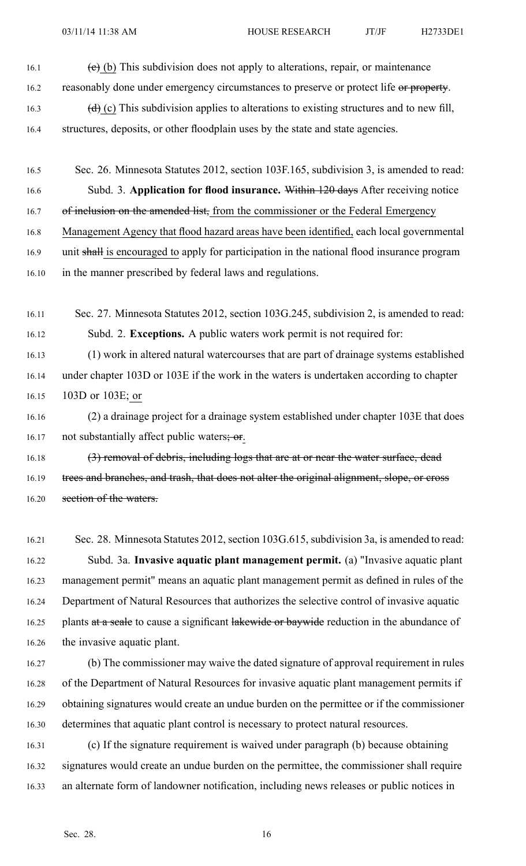- 16.1  $\left(e\right)$  (b) This subdivision does not apply to alterations, repair, or maintenance 16.2 reasonably done under emergency circumstances to preserve or protect life or property.
- 16.3 (d) (c) This subdivision applies to alterations to existing structures and to new fill,
- 16.4 structures, deposits, or other floodplain uses by the state and state agencies.
- 16.5 Sec. 26. Minnesota Statutes 2012, section 103F.165, subdivision 3, is amended to read:
- 16.6 Subd. 3. **Application for flood insurance.** Within 120 days After receiving notice
- 16.7 of inclusion on the amended list, from the commissioner or the Federal Emergency
- 16.8 Management Agency that flood hazard areas have been identified, each local governmental
- 16.9 unit shall is encouraged to apply for participation in the national flood insurance program
- 16.10 in the manner prescribed by federal laws and regulations.
- 16.11 Sec. 27. Minnesota Statutes 2012, section 103G.245, subdivision 2, is amended to read: 16.12 Subd. 2. **Exceptions.** A public waters work permit is not required for:
- 16.13 (1) work in altered natural watercourses that are par<sup>t</sup> of drainage systems established 16.14 under chapter 103D or 103E if the work in the waters is undertaken according to chapter 16.15 103D or 103E; or
- 16.16 (2) <sup>a</sup> drainage project for <sup>a</sup> drainage system established under chapter 103E that does 16.17 not substantially affect public waters; or.
- 16.18 (3) removal of debris, including logs that are at or near the water surface, dead 16.19 trees and branches, and trash, that does not alter the original alignment, slope, or cross 16.20 section of the waters.
- 16.21 Sec. 28. Minnesota Statutes 2012, section 103G.615, subdivision 3a, is amended to read: 16.22 Subd. 3a. **Invasive aquatic plant managemen<sup>t</sup> permit.** (a) "Invasive aquatic plant 16.23 managemen<sup>t</sup> permit" means an aquatic plant managemen<sup>t</sup> permit as defined in rules of the 16.24 Department of Natural Resources that authorizes the selective control of invasive aquatic 16.25 plants at a seale to cause a significant lakewide or baywide reduction in the abundance of 16.26 the invasive aquatic plant.
- 16.27 (b) The commissioner may waive the dated signature of approval requirement in rules 16.28 of the Department of Natural Resources for invasive aquatic plant managemen<sup>t</sup> permits if 16.29 obtaining signatures would create an undue burden on the permittee or if the commissioner 16.30 determines that aquatic plant control is necessary to protect natural resources.
- 16.31 (c) If the signature requirement is waived under paragraph (b) because obtaining 16.32 signatures would create an undue burden on the permittee, the commissioner shall require 16.33 an alternate form of landowner notification, including news releases or public notices in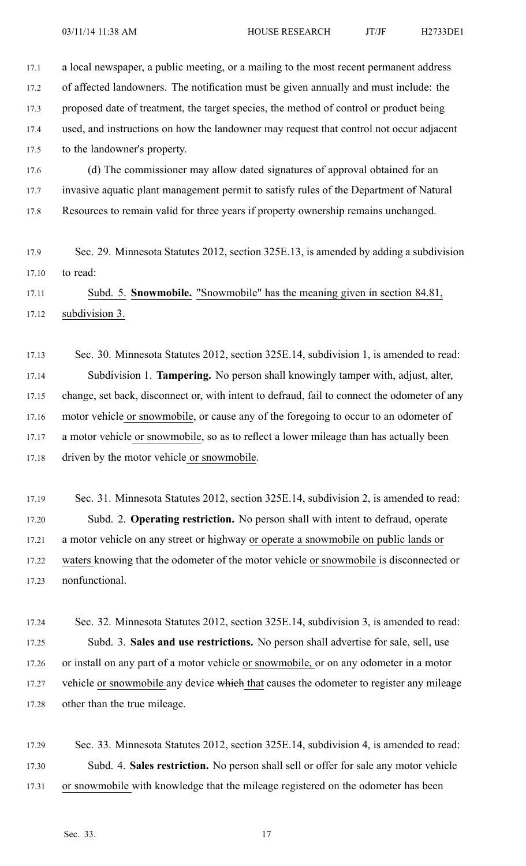| 17.1  | a local newspaper, a public meeting, or a mailing to the most recent permanent address       |
|-------|----------------------------------------------------------------------------------------------|
| 17.2  | of affected landowners. The notification must be given annually and must include: the        |
| 17.3  | proposed date of treatment, the target species, the method of control or product being       |
| 17.4  | used, and instructions on how the landowner may request that control not occur adjacent      |
| 17.5  | to the landowner's property.                                                                 |
| 17.6  | (d) The commissioner may allow dated signatures of approval obtained for an                  |
| 17.7  | invasive aquatic plant management permit to satisfy rules of the Department of Natural       |
| 17.8  | Resources to remain valid for three years if property ownership remains unchanged.           |
|       |                                                                                              |
| 17.9  | Sec. 29. Minnesota Statutes 2012, section 325E.13, is amended by adding a subdivision        |
| 17.10 | to read:                                                                                     |
| 17.11 | Subd. 5. Snowmobile. "Snowmobile" has the meaning given in section 84.81,                    |
| 17.12 | subdivision 3.                                                                               |
|       |                                                                                              |
| 17.13 | Sec. 30. Minnesota Statutes 2012, section 325E.14, subdivision 1, is amended to read:        |
| 17.14 | Subdivision 1. Tampering. No person shall knowingly tamper with, adjust, alter,              |
| 17.15 | change, set back, disconnect or, with intent to defraud, fail to connect the odometer of any |
| 17.16 | motor vehicle or snowmobile, or cause any of the foregoing to occur to an odometer of        |
| 17.17 | a motor vehicle or snowmobile, so as to reflect a lower mileage than has actually been       |
| 17.18 | driven by the motor vehicle or snowmobile.                                                   |
|       |                                                                                              |

17.19 Sec. 31. Minnesota Statutes 2012, section 325E.14, subdivision 2, is amended to read: 17.20 Subd. 2. **Operating restriction.** No person shall with intent to defraud, operate 17.21 <sup>a</sup> motor vehicle on any street or highway or operate <sup>a</sup> snowmobile on public lands or 17.22 waters knowing that the odometer of the motor vehicle or snowmobile is disconnected or 17.23 nonfunctional.

17.24 Sec. 32. Minnesota Statutes 2012, section 325E.14, subdivision 3, is amended to read: 17.25 Subd. 3. **Sales and use restrictions.** No person shall advertise for sale, sell, use 17.26 or install on any par<sup>t</sup> of <sup>a</sup> motor vehicle or snowmobile, or on any odometer in <sup>a</sup> motor 17.27 vehicle or snowmobile any device which that causes the odometer to register any mileage 17.28 other than the true mileage.

17.29 Sec. 33. Minnesota Statutes 2012, section 325E.14, subdivision 4, is amended to read: 17.30 Subd. 4. **Sales restriction.** No person shall sell or offer for sale any motor vehicle 17.31 or snowmobile with knowledge that the mileage registered on the odometer has been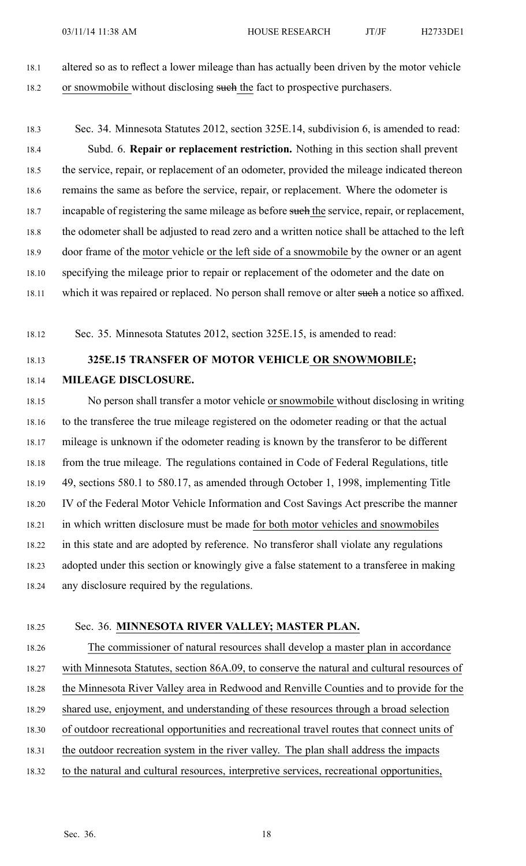18.1 altered so as to reflect <sup>a</sup> lower mileage than has actually been driven by the motor vehicle 18.2 or snowmobile without disclosing such the fact to prospective purchasers.

18.3 Sec. 34. Minnesota Statutes 2012, section 325E.14, subdivision 6, is amended to read: 18.4 Subd. 6. **Repair or replacement restriction.** Nothing in this section shall preven<sup>t</sup> 18.5 the service, repair, or replacement of an odometer, provided the mileage indicated thereon 18.6 remains the same as before the service, repair, or replacement. Where the odometer is 18.7 incapable of registering the same mileage as before such the service, repair, or replacement, 18.8 the odometer shall be adjusted to read zero and <sup>a</sup> written notice shall be attached to the left 18.9 door frame of the motor vehicle or the left side of <sup>a</sup> snowmobile by the owner or an agen<sup>t</sup> 18.10 specifying the mileage prior to repair or replacement of the odometer and the date on 18.11 which it was repaired or replaced. No person shall remove or alter such a notice so affixed.

18.12 Sec. 35. Minnesota Statutes 2012, section 325E.15, is amended to read:

# 18.13 **325E.15 TRANSFER OF MOTOR VEHICLE OR SNOWMOBILE;**

18.14 **MILEAGE DISCLOSURE.**

18.15 No person shall transfer <sup>a</sup> motor vehicle or snowmobile without disclosing in writing 18.16 to the transferee the true mileage registered on the odometer reading or that the actual 18.17 mileage is unknown if the odometer reading is known by the transferor to be different 18.18 from the true mileage. The regulations contained in Code of Federal Regulations, title 18.19 49, sections 580.1 to 580.17, as amended through October 1, 1998, implementing Title 18.20 IV of the Federal Motor Vehicle Information and Cost Savings Act prescribe the manner 18.21 in which written disclosure must be made for both motor vehicles and snowmobiles 18.22 in this state and are adopted by reference. No transferor shall violate any regulations 18.23 adopted under this section or knowingly give <sup>a</sup> false statement to <sup>a</sup> transferee in making 18.24 any disclosure required by the regulations.

### 18.25 Sec. 36. **MINNESOTA RIVER VALLEY; MASTER PLAN.**

- 18.26 The commissioner of natural resources shall develop <sup>a</sup> master plan in accordance 18.27 with Minnesota Statutes, section 86A.09, to conserve the natural and cultural resources of 18.28 the Minnesota River Valley area in Redwood and Renville Counties and to provide for the 18.29 shared use, enjoyment, and understanding of these resources through <sup>a</sup> broad selection 18.30 of outdoor recreational opportunities and recreational travel routes that connect units of 18.31 the outdoor recreation system in the river valley. The plan shall address the impacts
- 18.32 to the natural and cultural resources, interpretive services, recreational opportunities,